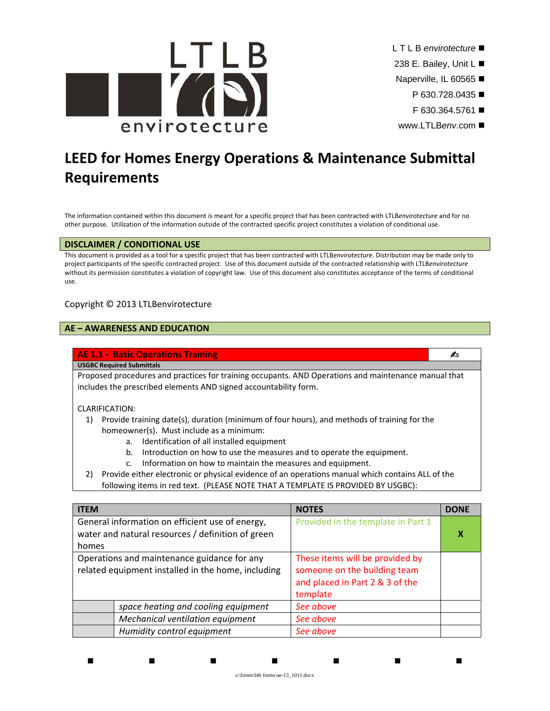

- L T L B *envirotecture*
- 238 E. Bailey, Unit L
- Naperville, IL 60565
	- P 630.728.0435 ■
	- F 630.364.5761
- www.LTLB*env*.com

# **LEED for Homes Energy Operations & Maintenance Submittal Requirements**

The information contained within this document is meant for a specific project that has been contracted with LTLB*envirotecture* and for no other purpose. Utilization of the information outside of the contracted specific project constitutes a violation of conditional use.

### **DISCLAIMER / CONDITIONAL USE**

This document is provided as a tool for a specific project that has been contracted with LTLB*envirotecture*. Distribution may be made only to project participants of the specific contracted project. Use of this document outside of the contracted relationship with LTLB*envirotecture* without its permission constitutes a violation of copyright law. Use of this document also constitutes acceptance of the terms of conditional use.

# Copyright © 2013 LTLBenvirotecture

# **AE – AWARENESS AND EDUCATION**

**AE 1.1 ‐ Basic Operations Training** - **USGBC Required Submittals**

Proposed procedures and practices for training occupants. AND Operations and maintenance manual that includes the prescribed elements AND signed accountability form.

### CLARIFICATION:

- 1) Provide training date(s), duration (minimum of four hours), and methods of training for the homeowner(s). Must include as a minimum:
	- a. Identification of all installed equipment
	- b. Introduction on how to use the measures and to operate the equipment.
	- c. Information on how to maintain the measures and equipment.
- 2) Provide either electronic or physical evidence of an operations manual which contains ALL of the following items in red text. (PLEASE NOTE THAT A TEMPLATE IS PROVIDED BY USGBC):

| <b>ITEM</b>                                                                                       |                                                                                                      | <b>NOTES</b>                                                                                                   | <b>DONE</b> |
|---------------------------------------------------------------------------------------------------|------------------------------------------------------------------------------------------------------|----------------------------------------------------------------------------------------------------------------|-------------|
|                                                                                                   | General information on efficient use of energy,<br>water and natural resources / definition of green | Provided in the template in Part 1                                                                             | х           |
| homes                                                                                             |                                                                                                      |                                                                                                                |             |
| Operations and maintenance guidance for any<br>related equipment installed in the home, including |                                                                                                      | These items will be provided by<br>someone on the building team<br>and placed in Part 2 & 3 of the<br>template |             |
|                                                                                                   | space heating and cooling equipment                                                                  | See above                                                                                                      |             |
|                                                                                                   | Mechanical ventilation equipment                                                                     | See above                                                                                                      |             |
|                                                                                                   | Humidity control equipment                                                                           | See above                                                                                                      |             |